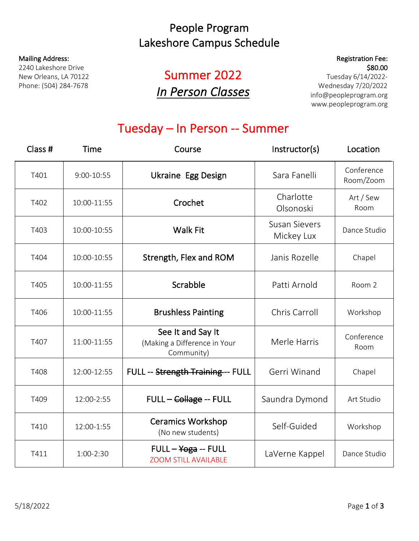### People Program Lakeshore Campus Schedule

#### Mailing Address:

2240 Lakeshore Drive New Orleans, LA 70122 Phone: (504) 284-7678

# Summer 2022 *In Person Classes*

### Registration Fee: \$80.00

Tuesday 6/14/2022- Wednesday 7/20/2022 info@peopleprogram.org www.peopleprogram.org

## Tuesday – In Person -- Summer

| Class # | Time           | Course                                                          | Instructor(s)                      | Location                |
|---------|----------------|-----------------------------------------------------------------|------------------------------------|-------------------------|
| T401    | $9:00 - 10:55$ | <b>Ukraine Egg Design</b>                                       | Sara Fanelli                       | Conference<br>Room/Zoom |
| T402    | 10:00-11:55    | Crochet                                                         | Charlotte<br>Olsonoski             | Art / Sew<br>Room       |
| T403    | 10:00-10:55    | <b>Walk Fit</b>                                                 | <b>Susan Sievers</b><br>Mickey Lux | Dance Studio            |
| T404    | 10:00-10:55    | Strength, Flex and ROM                                          | Janis Rozelle                      | Chapel                  |
| T405    | 10:00-11:55    | Scrabble                                                        | Patti Arnold                       | Room 2                  |
| T406    | 10:00-11:55    | <b>Brushless Painting</b>                                       | Chris Carroll                      | Workshop                |
| T407    | 11:00-11:55    | See It and Say It<br>(Making a Difference in Your<br>Community) | Merle Harris                       | Conference<br>Room      |
| T408    | 12:00-12:55    | FULL -- Strength Training -- FULL                               | Gerri Winand                       | Chapel                  |
| T409    | 12:00-2:55     | FULL - Collage -- FULL                                          | Saundra Dymond                     | Art Studio              |
| T410    | 12:00-1:55     | <b>Ceramics Workshop</b><br>(No new students)                   | Self-Guided                        | Workshop                |
| T411    | 1:00-2:30      | $FULL - Yoga - FULL$<br><b>ZOOM STILL AVAILABLE</b>             | LaVerne Kappel                     | Dance Studio            |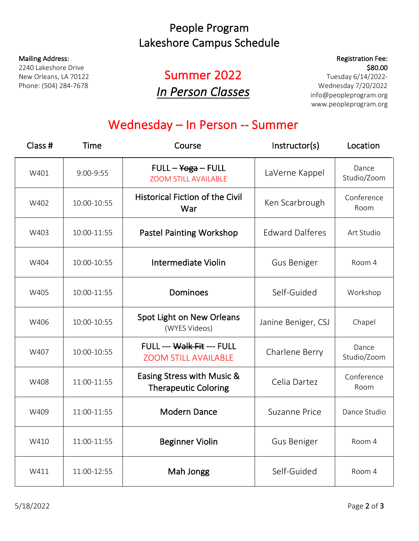### People Program Lakeshore Campus Schedule

#### Mailing Address:

2240 Lakeshore Drive New Orleans, LA 70122 Phone: (504) 284-7678

# Summer 2022 *In Person Classes*

### Registration Fee: \$80.00

Tuesday 6/14/2022- Wednesday 7/20/2022 info@peopleprogram.org www.peopleprogram.org

## Wednesday – In Person -- Summer

| Class # | <b>Time</b> | Course                                                    | Instructor(s)          | Location             |
|---------|-------------|-----------------------------------------------------------|------------------------|----------------------|
| W401    | 9:00-9:55   | $FULL - Yoga - FULL$<br><b>ZOOM STILL AVAILABLE</b>       | LaVerne Kappel         | Dance<br>Studio/Zoom |
| W402    | 10:00-10:55 | <b>Historical Fiction of the Civil</b><br>War             | Ken Scarbrough         | Conference<br>Room   |
| W403    | 10:00-11:55 | <b>Pastel Painting Workshop</b>                           | <b>Edward Dalferes</b> | Art Studio           |
| W404    | 10:00-10:55 | <b>Intermediate Violin</b>                                | <b>Gus Beniger</b>     | Room 4               |
| W405    | 10:00-11:55 | Dominoes                                                  | Self-Guided            | Workshop             |
| W406    | 10:00-10:55 | Spot Light on New Orleans<br>(WYES Videos)                | Janine Beniger, CSJ    | Chapel               |
| W407    | 10:00-10:55 | FULL --- Walk Fit --- FULL<br><b>ZOOM STILL AVAILABLE</b> | Charlene Berry         | Dance<br>Studio/Zoom |
| W408    | 11:00-11:55 | Easing Stress with Music &<br><b>Therapeutic Coloring</b> | Celia Dartez           | Conference<br>Room   |
| W409    | 11:00-11:55 | <b>Modern Dance</b>                                       | <b>Suzanne Price</b>   | Dance Studio         |
| W410    | 11:00-11:55 | <b>Beginner Violin</b>                                    | <b>Gus Beniger</b>     | Room 4               |
| W411    | 11:00-12:55 | Mah Jongg                                                 | Self-Guided            | Room 4               |